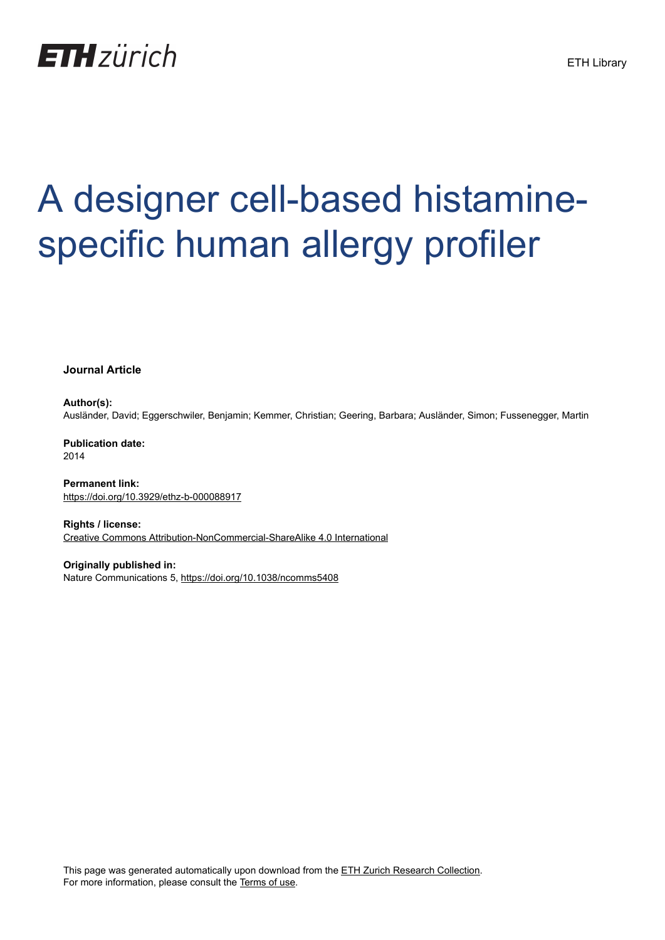

# A designer cell-based histaminespecific human allergy profiler

**Journal Article**

**Author(s):** Ausländer, David; Eggerschwiler, Benjamin; Kemmer, Christian; Geering, Barbara; Ausländer, Simon; Fussenegger, Martin

**Publication date:** 2014

**Permanent link:** <https://doi.org/10.3929/ethz-b-000088917>

**Rights / license:** [Creative Commons Attribution-NonCommercial-ShareAlike 4.0 International](http://creativecommons.org/licenses/by-nc-sa/4.0/)

**Originally published in:** Nature Communications 5,<https://doi.org/10.1038/ncomms5408>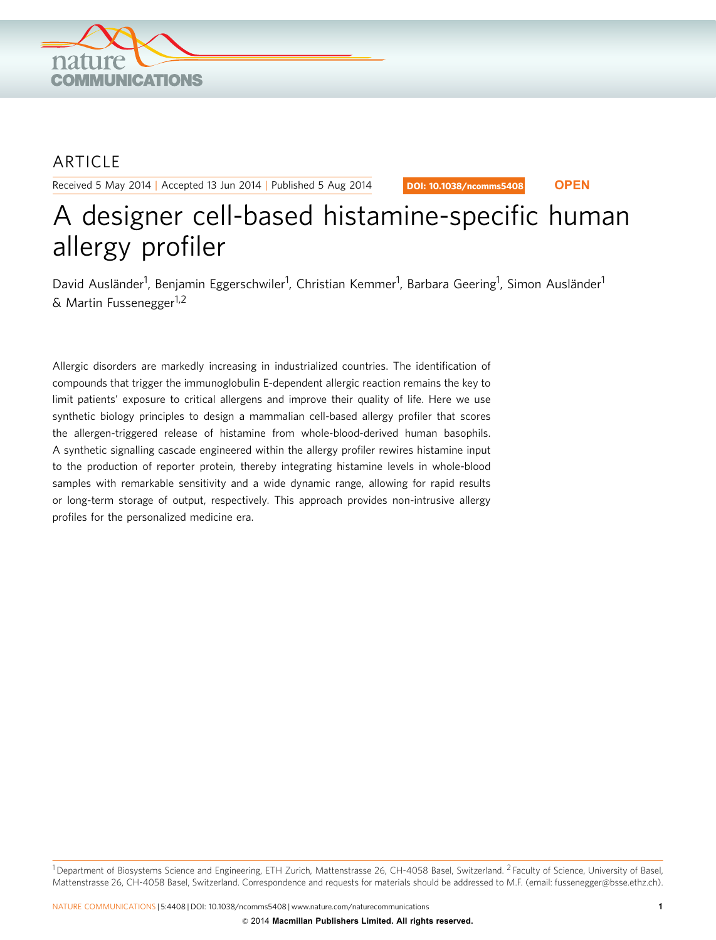

## ARTICLE

Received 5 May 2014 | Accepted 13 Jun 2014 | Published 5 Aug 2014

DOI: 10.1038/ncomms5408 **OPEN**

## A designer cell-based histamine-specific human allergy profiler

David Ausländer<sup>1</sup>, Benjamin Eggerschwiler<sup>1</sup>, Christian Kemmer<sup>1</sup>, Barbara Geering<sup>1</sup>, Simon Ausländer<sup>1</sup> & Martin Fussenegger<sup>1,2</sup>

Allergic disorders are markedly increasing in industrialized countries. The identification of compounds that trigger the immunoglobulin E-dependent allergic reaction remains the key to limit patients' exposure to critical allergens and improve their quality of life. Here we use synthetic biology principles to design a mammalian cell-based allergy profiler that scores the allergen-triggered release of histamine from whole-blood-derived human basophils. A synthetic signalling cascade engineered within the allergy profiler rewires histamine input to the production of reporter protein, thereby integrating histamine levels in whole-blood samples with remarkable sensitivity and a wide dynamic range, allowing for rapid results or long-term storage of output, respectively. This approach provides non-intrusive allergy profiles for the personalized medicine era.

 $1$  Department of Biosystems Science and Engineering, ETH Zurich, Mattenstrasse 26, CH-4058 Basel, Switzerland. <sup>2</sup> Faculty of Science, University of Basel, Mattenstrasse 26, CH-4058 Basel, Switzerland. Correspondence and requests for materials should be addressed to M.F. (email: [fussenegger@bsse.ethz.ch\)](mailto:fussenegger@bsse.ethz.ch).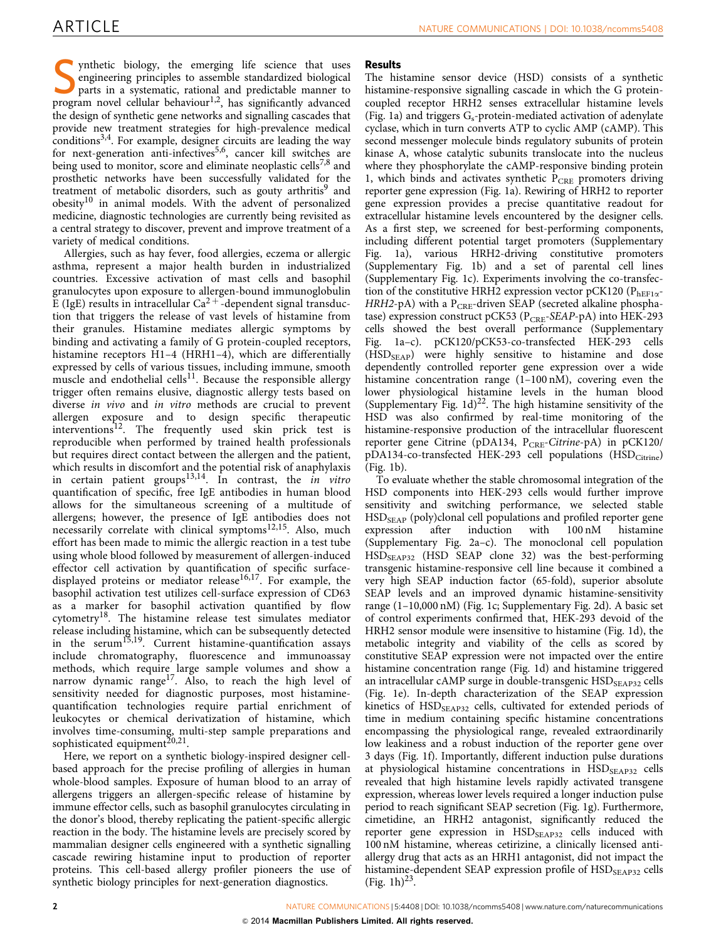ynthetic biology, the emerging life science that uses engineering principles to assemble standardized biological parts in a systematic, rational and predictable manner to program novel cellular behaviour<sup>[1,2](#page-8-0)</sup>, has significantly advanced the design of synthetic gene networks and signalling cascades that provide new treatment strategies for high-prevalence medical  $conditions<sup>3,4</sup>$  $conditions<sup>3,4</sup>$  $conditions<sup>3,4</sup>$ . For example, designer circuits are leading the way for next-generation anti-infectives<sup>5,6</sup>, cancer kill switches are being used to monitor, score and eliminate neoplastic cells<sup>[7,8](#page-8-0)</sup> and prosthetic networks have been successfully validated for the treatment of metabolic disorders, such as gouty arthritis<sup>[9](#page-8-0)</sup> and obesit[y10](#page-8-0) in animal models. With the advent of personalized medicine, diagnostic technologies are currently being revisited as a central strategy to discover, prevent and improve treatment of a variety of medical conditions.

Allergies, such as hay fever, food allergies, eczema or allergic asthma, represent a major health burden in industrialized countries. Excessive activation of mast cells and basophil granulocytes upon exposure to allergen-bound immunoglobulin E (IgE) results in intracellular  $Ca^{2+}$ -dependent signal transduction that triggers the release of vast levels of histamine from their granules. Histamine mediates allergic symptoms by binding and activating a family of G protein-coupled receptors, histamine receptors H1-4 (HRH1-4), which are differentially expressed by cells of various tissues, including immune, smooth muscle and endothelial cells<sup>11</sup>. Because the responsible allergy trigger often remains elusive, diagnostic allergy tests based on diverse in vivo and in vitro methods are crucial to prevent allergen exposure and to design specific therapeutic  $interventions<sup>12</sup>$  $interventions<sup>12</sup>$  $interventions<sup>12</sup>$ . The frequently used skin prick test is reproducible when performed by trained health professionals but requires direct contact between the allergen and the patient, which results in discomfort and the potential risk of anaphylaxis in certain patient groups $^{13,14}$  $^{13,14}$  $^{13,14}$ . In contrast, the *in vitro* quantification of specific, free IgE antibodies in human blood allows for the simultaneous screening of a multitude of allergens; however, the presence of IgE antibodies does not necessarily correlate with clinical symptoms<sup>12,15</sup>. Also, much effort has been made to mimic the allergic reaction in a test tube using whole blood followed by measurement of allergen-induced effector cell activation by quantification of specific surfacedisplayed proteins or mediator release<sup>16,17</sup>. For example, the basophil activation test utilizes cell-surface expression of CD63 as a marker for basophil activation quantified by flow cytometry[18.](#page-8-0) The histamine release test simulates mediator release including histamine, which can be subsequently detected in the serum<sup>[15,19](#page-8-0)</sup>. Current histamine-quantification assays include chromatography, fluorescence and immunoassay methods, which require large sample volumes and show a narrow dynamic range<sup>[17](#page-8-0)</sup>. Also, to reach the high level of sensitivity needed for diagnostic purposes, most histaminequantification technologies require partial enrichment of leukocytes or chemical derivatization of histamine, which involves time-consuming, multi-step sample preparations and sophisticated equipment<sup>[20,21](#page-8-0)</sup>.

Here, we report on a synthetic biology-inspired designer cellbased approach for the precise profiling of allergies in human whole-blood samples. Exposure of human blood to an array of allergens triggers an allergen-specific release of histamine by immune effector cells, such as basophil granulocytes circulating in the donor's blood, thereby replicating the patient-specific allergic reaction in the body. The histamine levels are precisely scored by mammalian designer cells engineered with a synthetic signalling cascade rewiring histamine input to production of reporter proteins. This cell-based allergy profiler pioneers the use of synthetic biology principles for next-generation diagnostics.

## Results

The histamine sensor device (HSD) consists of a synthetic histamine-responsive signalling cascade in which the G proteincoupled receptor HRH2 senses extracellular histamine levels ([Fig. 1a\)](#page-3-0) and triggers  $G<sub>e</sub>$ -protein-mediated activation of adenylate cyclase, which in turn converts ATP to cyclic AMP (cAMP). This second messenger molecule binds regulatory subunits of protein kinase A, whose catalytic subunits translocate into the nucleus where they phosphorylate the cAMP-responsive binding protein 1, which binds and activates synthetic  $P_{CRE}$  promoters driving reporter gene expression [\(Fig. 1a](#page-3-0)). Rewiring of HRH2 to reporter gene expression provides a precise quantitative readout for extracellular histamine levels encountered by the designer cells. As a first step, we screened for best-performing components, including different potential target promoters (Supplementary Fig. 1a), various HRH2-driving constitutive promoters (Supplementary Fig. 1b) and a set of parental cell lines (Supplementary Fig. 1c). Experiments involving the co-transfection of the constitutive HRH2 expression vector pCK120 ( $P_{hEFi\alpha}$ -HRH2-pA) with a  $P_{CRE}$ -driven SEAP (secreted alkaline phosphatase) expression construct pCK53 (P<sub>CRE</sub>-SEAP-pA) into HEK-293 cells showed the best overall performance (Supplementary Fig. 1a–c). pCK120/pCK53-co-transfected HEK-293 cells (HSD<sub>SEAP</sub>) were highly sensitive to histamine and dose dependently controlled reporter gene expression over a wide histamine concentration range  $(1-100 \text{ nM})$ , covering even the lower physiological histamine levels in the human blood (Supplementary Fig.  $1d^{22}$  $1d^{22}$  $1d^{22}$ . The high histamine sensitivity of the HSD was also confirmed by real-time monitoring of the histamine-responsive production of the intracellular fluorescent reporter gene Citrine (pDA134,  $P_{CRE}$ -Citrine-pA) in pCK120/  $pDA134$ -co-transfected HEK-293 cell populations (HSD<sub>Citrine</sub>) ([Fig. 1b](#page-3-0)).

To evaluate whether the stable chromosomal integration of the HSD components into HEK-293 cells would further improve sensitivity and switching performance, we selected stable  $HSD<sub>SEAP</sub>$  (poly)clonal cell populations and profiled reporter gene expression after induction with  $100 \text{ nM}$  histamine expression after induction with 100 nM histamine (Supplementary Fig. 2a–c). The monoclonal cell population HSD<sub>SEAP32</sub> (HSD SEAP clone 32) was the best-performing transgenic histamine-responsive cell line because it combined a very high SEAP induction factor (65-fold), superior absolute SEAP levels and an improved dynamic histamine-sensitivity range (1–10,000 nM) ([Fig. 1c](#page-3-0); Supplementary Fig. 2d). A basic set of control experiments confirmed that, HEK-293 devoid of the HRH2 sensor module were insensitive to histamine ([Fig. 1d\)](#page-3-0), the metabolic integrity and viability of the cells as scored by constitutive SEAP expression were not impacted over the entire histamine concentration range [\(Fig. 1d\)](#page-3-0) and histamine triggered an intracellular cAMP surge in double-transgenic  $HSD<sub>SEAP32</sub>$  cells ([Fig. 1e](#page-3-0)). In-depth characterization of the SEAP expression kinetics of  $HSD<sub>SEAP32</sub>$  cells, cultivated for extended periods of time in medium containing specific histamine concentrations encompassing the physiological range, revealed extraordinarily low leakiness and a robust induction of the reporter gene over 3 days [\(Fig. 1f\)](#page-3-0). Importantly, different induction pulse durations at physiological histamine concentrations in  $HSD<sub>SEAP32</sub>$  cells revealed that high histamine levels rapidly activated transgene expression, whereas lower levels required a longer induction pulse period to reach significant SEAP secretion [\(Fig. 1g](#page-3-0)). Furthermore, cimetidine, an HRH2 antagonist, significantly reduced the reporter gene expression in HSD<sub>SEAP32</sub> cells induced with 100 nM histamine, whereas cetirizine, a clinically licensed antiallergy drug that acts as an HRH1 antagonist, did not impact the histamine-dependent SEAP expression profile of  $HSD<sub>SEAP32</sub>$  cells ([Fig. 1h](#page-3-0)) $^{23}$ .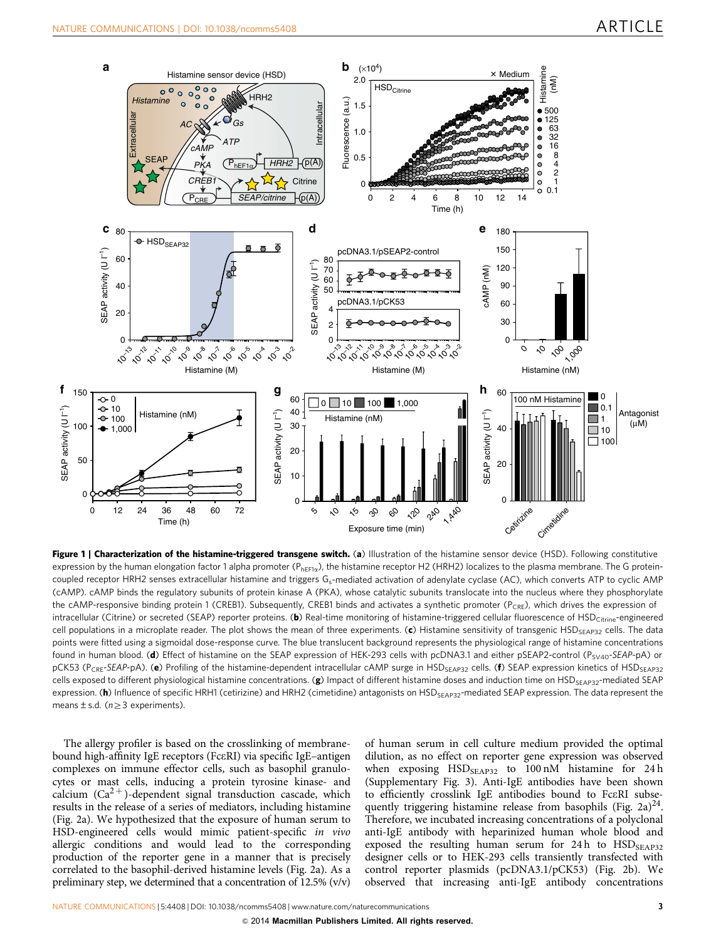<span id="page-3-0"></span>

Figure 1 | Characterization of the histamine-triggered transgene switch. (a) Illustration of the histamine sensor device (HSD). Following constitutive expression by the human elongation factor 1 alpha promoter ( $P<sub>hFf1α</sub>$ ), the histamine receptor H2 (HRH2) localizes to the plasma membrane. The G proteincoupled receptor HRH2 senses extracellular histamine and triggers G<sub>s</sub>-mediated activation of adenylate cyclase (AC), which converts ATP to cyclic AMP (cAMP). cAMP binds the regulatory subunits of protein kinase A (PKA), whose catalytic subunits translocate into the nucleus where they phosphorylate the cAMP-responsive binding protein 1 (CREB1). Subsequently, CREB1 binds and activates a synthetic promoter ( $P_{CRE}$ ), which drives the expression of intracellular (Citrine) or secreted (SEAP) reporter proteins. (b) Real-time monitoring of histamine-triggered cellular fluorescence of HSD<sub>Citrine</sub>-engineered cell populations in a microplate reader. The plot shows the mean of three experiments. (c) Histamine sensitivity of transgenic HSD<sub>SEAP32</sub> cells. The data points were fitted using a sigmoidal dose-response curve. The blue translucent background represents the physiological range of histamine concentrations found in human blood. (d) Effect of histamine on the SEAP expression of HEK-293 cells with pcDNA3.1 and either pSEAP2-control ( $P_{sV40}$ -SEAP-pA) or pCK53 (P<sub>CRE</sub>-SEAP-pA). (e) Profiling of the histamine-dependent intracellular cAMP surge in HSD<sub>SEAP32</sub> cells. (f) SEAP expression kinetics of HSD<sub>SEAP32</sub> cells exposed to different physiological histamine concentrations. (g) Impact of different histamine doses and induction time on HSD<sub>SEAP32</sub>-mediated SEAP expression. (h) Influence of specific HRH1 (cetirizine) and HRH2 (cimetidine) antagonists on HSD<sub>SEAP32</sub>-mediated SEAP expression. The data represent the means  $\pm$  s.d. ( $n \geq 3$  experiments).

The allergy profiler is based on the crosslinking of membranebound high-affinity IgE receptors (FceRI) via specific IgE–antigen complexes on immune effector cells, such as basophil granulocytes or mast cells, inducing a protein tyrosine kinase- and calcium  $(Ca^{2+})$ -dependent signal transduction cascade, which results in the release of a series of mediators, including histamine ([Fig. 2a](#page-4-0)). We hypothesized that the exposure of human serum to HSD-engineered cells would mimic patient-specific in vivo allergic conditions and would lead to the corresponding production of the reporter gene in a manner that is precisely correlated to the basophil-derived histamine levels [\(Fig. 2a\)](#page-4-0). As a preliminary step, we determined that a concentration of  $12.5\%$  (v/v)

of human serum in cell culture medium provided the optimal dilution, as no effect on reporter gene expression was observed when exposing  $HSD_{SEAP32}$  to 100 nM histamine for 24 h (Supplementary Fig. 3). Anti-IgE antibodies have been shown to efficiently crosslink IgE antibodies bound to FceRI subse-quently triggering histamine release from basophils ([Fig. 2a](#page-4-0)) $^{24}$ . Therefore, we incubated increasing concentrations of a polyclonal anti-IgE antibody with heparinized human whole blood and exposed the resulting human serum for  $24 h$  to  $HSD_{SEAP32}$ designer cells or to HEK-293 cells transiently transfected with control reporter plasmids (pcDNA3.1/pCK53) [\(Fig. 2b](#page-4-0)). We observed that increasing anti-IgE antibody concentrations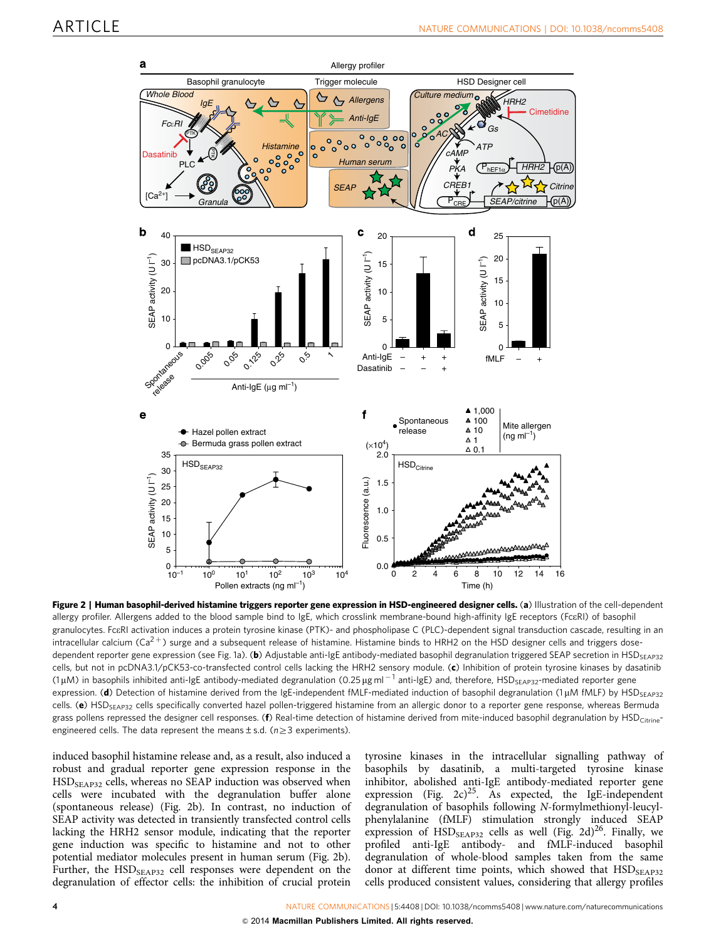<span id="page-4-0"></span>

Figure 2 | Human basophil-derived histamine triggers reporter gene expression in HSD-engineered designer cells. (a) Illustration of the cell-dependent allergy profiler. Allergens added to the blood sample bind to IgE, which crosslink membrane-bound high-affinity IgE receptors (FceRI) of basophil granulocytes. FceRI activation induces a protein tyrosine kinase (PTK)- and phospholipase C (PLC)-dependent signal transduction cascade, resulting in an intracellular calcium ( $Ca^{2+}$ ) surge and a subsequent release of histamine. Histamine binds to HRH2 on the HSD designer cells and triggers dose-dependent reporter gene expression (see [Fig. 1a\)](#page-3-0). (b) Adjustable anti-IgE antibody-mediated basophil degranulation triggered SEAP secretion in HSD<sub>SFAP32</sub> cells, but not in pcDNA3.1/pCK53-co-transfected control cells lacking the HRH2 sensory module. (c) Inhibition of protein tyrosine kinases by dasatinib (1µM) in basophils inhibited anti-IgE antibody-mediated degranulation (0.25µg ml $^{-1}$  anti-IgE) and, therefore, <code>HSD<sub>sEAP32-mediated</code> reporter gene</code></sub> expression. (d) Detection of histamine derived from the IgE-independent fMLF-mediated induction of basophil degranulation (1µM fMLF) by HSD<sub>SEAP32</sub> cells. (e) HSD<sub>SEAP32</sub> cells specifically converted hazel pollen-triggered histamine from an allergic donor to a reporter gene response, whereas Bermuda grass pollens repressed the designer cell responses. (f) Real-time detection of histamine derived from mite-induced basophil degranulation by HSD<sub>Citrine</sub>engineered cells. The data represent the means  $\pm$  s.d. ( $n \geq 3$  experiments).

induced basophil histamine release and, as a result, also induced a robust and gradual reporter gene expression response in the  $HSD<sub>SEAP32</sub>$  cells, whereas no SEAP induction was observed when cells were incubated with the degranulation buffer alone (spontaneous release) (Fig. 2b). In contrast, no induction of SEAP activity was detected in transiently transfected control cells lacking the HRH2 sensor module, indicating that the reporter gene induction was specific to histamine and not to other potential mediator molecules present in human serum (Fig. 2b). Further, the  $HSD<sub>SEAP32</sub>$  cell responses were dependent on the degranulation of effector cells: the inhibition of crucial protein

tyrosine kinases in the intracellular signalling pathway of basophils by dasatinib, a multi-targeted tyrosine kinase inhibitor, abolished anti-IgE antibody-mediated reporter gene expression (Fig.  $2c)^{25}$  $2c)^{25}$  $2c)^{25}$ . As expected, the IgE-independent degranulation of basophils following N-formylmethionyl-leucylphenylalanine (fMLF) stimulation strongly induced SEAP expression of  $HSD<sub>SEAP32</sub>$  cells as well (Fig. 2d)<sup>26</sup>. Finally, we profiled anti-IgE antibody- and fMLF-induced basophil degranulation of whole-blood samples taken from the same donor at different time points, which showed that  $HSD_{SEAP32}$ cells produced consistent values, considering that allergy profiles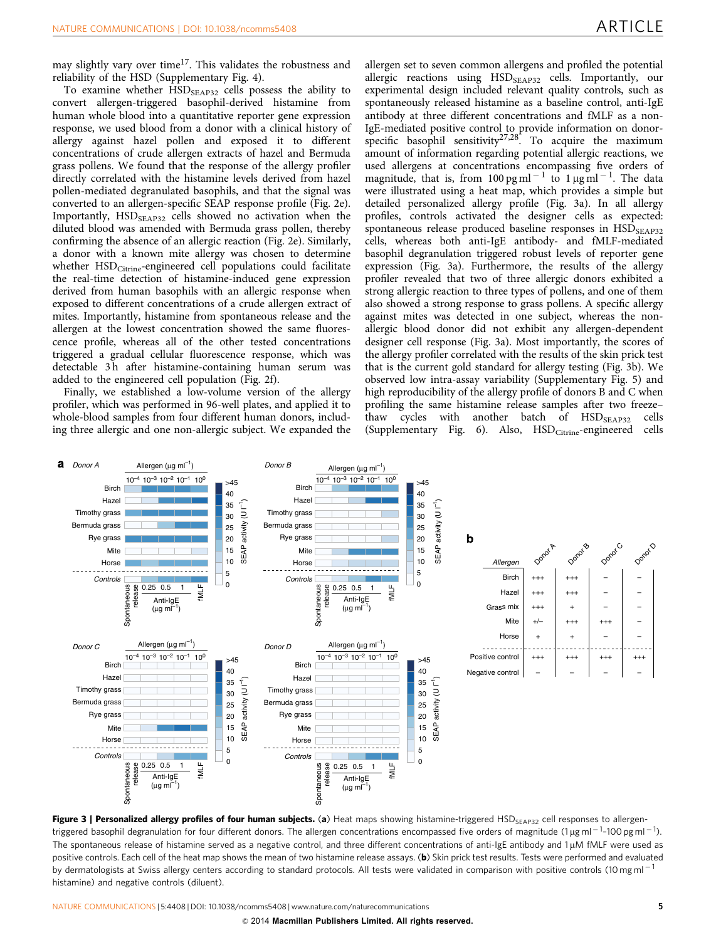<span id="page-5-0"></span>may slightly vary over time<sup>17</sup>. This validates the robustness and reliability of the HSD (Supplementary Fig. 4).

To examine whether  $HSD_{SEAP32}$  cells possess the ability to convert allergen-triggered basophil-derived histamine from human whole blood into a quantitative reporter gene expression response, we used blood from a donor with a clinical history of allergy against hazel pollen and exposed it to different concentrations of crude allergen extracts of hazel and Bermuda grass pollens. We found that the response of the allergy profiler directly correlated with the histamine levels derived from hazel pollen-mediated degranulated basophils, and that the signal was converted to an allergen-specific SEAP response profile [\(Fig. 2e](#page-4-0)). Importantly,  $HSD<sub>SEAP32</sub>$  cells showed no activation when the diluted blood was amended with Bermuda grass pollen, thereby confirming the absence of an allergic reaction ([Fig. 2e\)](#page-4-0). Similarly, a donor with a known mite allergy was chosen to determine whether HSD<sub>Citrine</sub>-engineered cell populations could facilitate the real-time detection of histamine-induced gene expression derived from human basophils with an allergic response when exposed to different concentrations of a crude allergen extract of mites. Importantly, histamine from spontaneous release and the allergen at the lowest concentration showed the same fluorescence profile, whereas all of the other tested concentrations triggered a gradual cellular fluorescence response, which was detectable 3h after histamine-containing human serum was added to the engineered cell population [\(Fig. 2f](#page-4-0)).

Finally, we established a low-volume version of the allergy profiler, which was performed in 96-well plates, and applied it to whole-blood samples from four different human donors, including three allergic and one non-allergic subject. We expanded the allergen set to seven common allergens and profiled the potential allergic reactions using HSD<sub>SEAP32</sub> cells. Importantly, our experimental design included relevant quality controls, such as spontaneously released histamine as a baseline control, anti-IgE antibody at three different concentrations and fMLF as a non-IgE-mediated positive control to provide information on donorspecific basophil sensitivity<sup>27,28</sup>. To acquire the maximum amount of information regarding potential allergic reactions, we used allergens at concentrations encompassing five orders of magnitude, that is, from  $100 \text{ pg} \text{ ml}^{-1}$  to  $1 \text{ µg} \text{ ml}^{-1}$ . The data were illustrated using a heat map, which provides a simple but detailed personalized allergy profile (Fig. 3a). In all allergy profiles, controls activated the designer cells as expected: spontaneous release produced baseline responses in  $HSD_{SEAP32}$ cells, whereas both anti-IgE antibody- and fMLF-mediated basophil degranulation triggered robust levels of reporter gene expression (Fig. 3a). Furthermore, the results of the allergy profiler revealed that two of three allergic donors exhibited a strong allergic reaction to three types of pollens, and one of them also showed a strong response to grass pollens. A specific allergy against mites was detected in one subject, whereas the nonallergic blood donor did not exhibit any allergen-dependent designer cell response (Fig. 3a). Most importantly, the scores of the allergy profiler correlated with the results of the skin prick test that is the current gold standard for allergy testing (Fig. 3b). We observed low intra-assay variability (Supplementary Fig. 5) and high reproducibility of the allergy profile of donors B and C when profiling the same histamine release samples after two freeze– thaw cycles with another batch of  $HSD<sub>SEAP32</sub>$  cells (Supplementary Fig.  $6$ ). Also, HSD<sub>Citrine</sub>-engineered cells



Figure 3 | Personalized allergy profiles of four human subjects. (a) Heat maps showing histamine-triggered HSD<sub>SEAP32</sub> cell responses to allergentriggered basophil degranulation for four different donors. The allergen concentrations encompassed five orders of magnitude (1µg ml  $^{-1}$ -100 pg ml  $^{-1}$ ). The spontaneous release of histamine served as a negative control, and three different concentrations of anti-IgE antibody and  $1 \mu$ M fMLF were used as positive controls. Each cell of the heat map shows the mean of two histamine release assays. (b) Skin prick test results. Tests were performed and evaluated by dermatologists at Swiss allergy centers according to standard protocols. All tests were validated in comparison with positive controls (10 mg ml  $^{-1}$ histamine) and negative controls (diluent).

NATURE COMMUNICATIONS | 5:4408 | DOI: 10.1038/ncomms5408 | [www.nature.com/naturecommunications](http://www.nature.com/naturecommunications) 5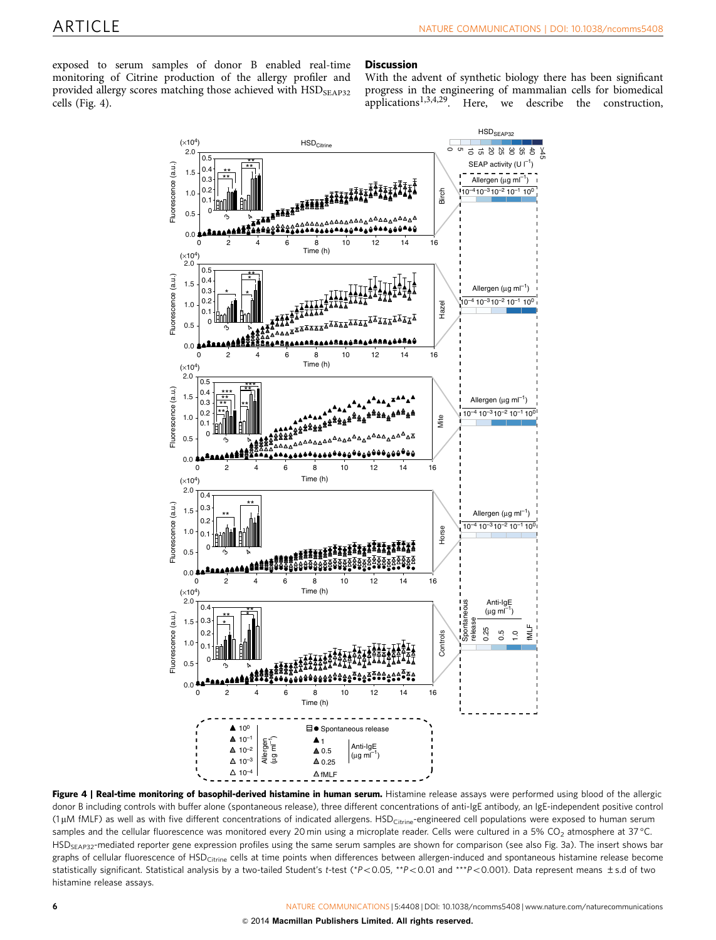exposed to serum samples of donor B enabled real-time monitoring of Citrine production of the allergy profiler and provided allergy scores matching those achieved with  $HSD_{SEAP32}$ cells (Fig. 4).

## **Discussion**

With the advent of synthetic biology there has been significant progress in the engineering of mammalian cells for biomedical applications<sup>[1,3,4,29](#page-8-0)</sup>. Here, we describe the construction,



Figure 4 | Real-time monitoring of basophil-derived histamine in human serum. Histamine release assays were performed using blood of the allergic donor B including controls with buffer alone (spontaneous release), three different concentrations of anti-IgE antibody, an IgE-independent positive control (1µM fMLF) as well as with five different concentrations of indicated allergens. HSD<sub>Citrine</sub>-engineered cell populations were exposed to human serum samples and the cellular fluorescence was monitored every 20 min using a microplate reader. Cells were cultured in a 5% CO<sub>2</sub> atmosphere at 37 °C. HSD<sub>SEAP32</sub>-mediated reporter gene expression profiles using the same serum samples are shown for comparison (see also [Fig. 3a\)](#page-5-0). The insert shows bar graphs of cellular fluorescence of HSD<sub>Citrine</sub> cells at time points when differences between allergen-induced and spontaneous histamine release become statistically significant. Statistical analysis by a two-tailed Student's t-test (\*P<0.05, \*\*P<0.01 and \*\*\*P<0.001). Data represent means ±s.d of two histamine release assays.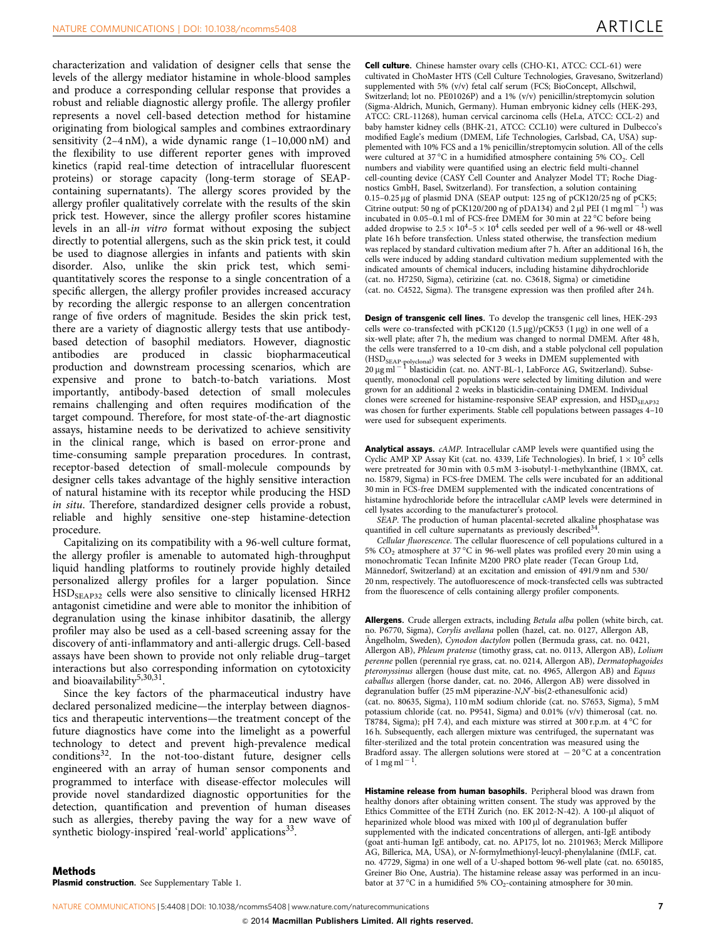characterization and validation of designer cells that sense the levels of the allergy mediator histamine in whole-blood samples and produce a corresponding cellular response that provides a robust and reliable diagnostic allergy profile. The allergy profiler represents a novel cell-based detection method for histamine originating from biological samples and combines extraordinary sensitivity  $(2-4 nM)$ , a wide dynamic range  $(1-10,000 nM)$  and the flexibility to use different reporter genes with improved kinetics (rapid real-time detection of intracellular fluorescent proteins) or storage capacity (long-term storage of SEAPcontaining supernatants). The allergy scores provided by the allergy profiler qualitatively correlate with the results of the skin prick test. However, since the allergy profiler scores histamine levels in an all-in vitro format without exposing the subject directly to potential allergens, such as the skin prick test, it could be used to diagnose allergies in infants and patients with skin disorder. Also, unlike the skin prick test, which semiquantitatively scores the response to a single concentration of a specific allergen, the allergy profiler provides increased accuracy by recording the allergic response to an allergen concentration range of five orders of magnitude. Besides the skin prick test, there are a variety of diagnostic allergy tests that use antibodybased detection of basophil mediators. However, diagnostic classic biopharmaceutical production and downstream processing scenarios, which are expensive and prone to batch-to-batch variations. Most importantly, antibody-based detection of small molecules remains challenging and often requires modification of the target compound. Therefore, for most state-of-the-art diagnostic assays, histamine needs to be derivatized to achieve sensitivity in the clinical range, which is based on error-prone and time-consuming sample preparation procedures. In contrast, receptor-based detection of small-molecule compounds by designer cells takes advantage of the highly sensitive interaction of natural histamine with its receptor while producing the HSD in situ. Therefore, standardized designer cells provide a robust, reliable and highly sensitive one-step histamine-detection procedure.

Capitalizing on its compatibility with a 96-well culture format, the allergy profiler is amenable to automated high-throughput liquid handling platforms to routinely provide highly detailed personalized allergy profiles for a larger population. Since HSD<sub>SEAP32</sub> cells were also sensitive to clinically licensed HRH2 antagonist cimetidine and were able to monitor the inhibition of degranulation using the kinase inhibitor dasatinib, the allergy profiler may also be used as a cell-based screening assay for the discovery of anti-inflammatory and anti-allergic drugs. Cell-based assays have been shown to provide not only reliable drug–target interactions but also corresponding information on cytotoxicity and bioavailability<sup>[5,30,31](#page-8-0)</sup>.

Since the key factors of the pharmaceutical industry have declared personalized medicine—the interplay between diagnostics and therapeutic interventions—the treatment concept of the future diagnostics have come into the limelight as a powerful technology to detect and prevent high-prevalence medical  $conditions^{32}$ . In the not-too-distant future, designer cells engineered with an array of human sensor components and programmed to interface with disease-effector molecules will provide novel standardized diagnostic opportunities for the detection, quantification and prevention of human diseases such as allergies, thereby paving the way for a new wave of synthetic biology-inspired 'real-world' applications<sup>33</sup>.

Cell culture. Chinese hamster ovary cells (CHO-K1, ATCC: CCL-61) were cultivated in ChoMaster HTS (Cell Culture Technologies, Gravesano, Switzerland) supplemented with 5% (v/v) fetal calf serum (FCS; BioConcept, Allschwil, Switzerland; lot no. PE01026P) and a 1% (v/v) penicillin/streptomycin solution (Sigma-Aldrich, Munich, Germany). Human embryonic kidney cells (HEK-293, ATCC: CRL-11268), human cervical carcinoma cells (HeLa, ATCC: CCL-2) and baby hamster kidney cells (BHK-21, ATCC: CCL10) were cultured in Dulbecco's modified Eagle's medium (DMEM, Life Technologies, Carlsbad, CA, USA) supplemented with 10% FCS and a 1% penicillin/streptomycin solution. All of the cells were cultured at 37 °C in a humidified atmosphere containing 5%  $CO<sub>2</sub>$ . Cell numbers and viability were quantified using an electric field multi-channel cell-counting device (CASY Cell Counter and Analyzer Model TT; Roche Diagnostics GmbH, Basel, Switzerland). For transfection, a solution containing 0.15–0.25  $\mu$ g of plasmid DNA (SEAP output: 125 ng of pCK120/25 ng of pCK5; Citrine output: 50 ng of pCK120/200 ng of pDA134) and 2  $\mu$ l PEI (1 mg ml<sup>-1</sup>) was incubated in 0.05-0.1 ml of FCS-free DMEM for 30 min at 22 °C before being added dropwise to  $2.5 \times 10^4$  -5  $\times$  10<sup>4</sup> cells seeded per well of a 96-well or 48-well plate 16 h before transfection. Unless stated otherwise, the transfection medium was replaced by standard cultivation medium after 7 h. After an additional 16 h, the cells were induced by adding standard cultivation medium supplemented with the indicated amounts of chemical inducers, including histamine dihydrochloride (cat. no. H7250, Sigma), cetirizine (cat. no. C3618, Sigma) or cimetidine (cat. no. C4522, Sigma). The transgene expression was then profiled after 24 h.

Design of transgenic cell lines. To develop the transgenic cell lines, HEK-293 cells were co-transfected with pCK120  $(1.5 \mu g)/pCK53$   $(1 \mu g)$  in one well of a six-well plate; after 7 h, the medium was changed to normal DMEM. After 48 h, the cells were transferred to a 10-cm dish, and a stable polyclonal cell population (HSD<sub>SEAP-polyclonal</sub>) was selected for 3 weeks in DMEM supplemented with<br>20 µg ml<sup>-1</sup> blasticidin (cat. no. ANT-BL-1, LabForce AG, Switzerland). Subsequently, monoclonal cell populations were selected by limiting dilution and were grown for an additional 2 weeks in blasticidin-containing DMEM. Individual clones were screened for histamine-responsive SEAP expression, and HSD<sub>SEAP32</sub> was chosen for further experiments. Stable cell populations between passages 4-10 were used for subsequent experiments.

Analytical assays. cAMP. Intracellular cAMP levels were quantified using the Cyclic AMP XP Assay Kit (cat. no. 4339, Life Technologies). In brief,  $1 \times 10^5$  cells were pretreated for 30 min with 0.5 mM 3-isobutyl-1-methylxanthine (IBMX, cat. no. I5879, Sigma) in FCS-free DMEM. The cells were incubated for an additional 30 min in FCS-free DMEM supplemented with the indicated concentrations of histamine hydrochloride before the intracellular cAMP levels were determined in cell lysates according to the manufacturer's protocol.

SEAP. The production of human placental-secreted alkaline phosphatase was quantified in cell culture supernatants as previously described<sup>[34](#page-8-0)</sup>

Cellular fluorescence. The cellular fluorescence of cell populations cultured in a 5%  $CO<sub>2</sub>$  atmosphere at 37 °C in 96-well plates was profiled every 20 min using a monochromatic Tecan Infinite M200 PRO plate reader (Tecan Group Ltd, Männedorf, Switzerland) at an excitation and emission of 491/9 nm and 530 20 nm, respectively. The autofluorescence of mock-transfected cells was subtracted from the fluorescence of cells containing allergy profiler components.

Allergens. Crude allergen extracts, including Betula alba pollen (white birch, cat. no. P6770, Sigma), Corylis avellana pollen (hazel, cat. no. 0127, Allergon AB, Ängelholm, Sweden), Cynodon dactylon pollen (Bermuda grass, cat. no. 0421, Allergon AB), Phleum pratense (timothy grass, cat. no. 0113, Allergon AB), Lolium perenne pollen (perennial rye grass, cat. no. 0214, Allergon AB), Dermatophagoides pteronyssinus allergen (house dust mite, cat. no. 4965, Allergon AB) and Equus caballus allergen (horse dander, cat. no. 2046, Allergon AB) were dissolved in degranulation buffer (25 mM piperazine-N,N'-bis(2-ethanesulfonic acid) (cat. no. 80635, Sigma), 110 mM sodium chloride (cat. no. S7653, Sigma), 5 mM potassium chloride (cat. no. P9541, Sigma) and 0.01% (v/v) thimerosal (cat. no. T8784, Sigma); pH 7.4), and each mixture was stirred at 300 r.p.m. at  $4^{\circ}$ C for 16 h. Subsequently, each allergen mixture was centrifuged, the supernatant was filter-sterilized and the total protein concentration was measured using the Bradford assay. The allergen solutions were stored at  $-20^{\circ}$ C at a concentration of 1 mg ml<sup>-1</sup>.

Histamine release from human basophils. Peripheral blood was drawn from healthy donors after obtaining written consent. The study was approved by the Ethics Committee of the ETH Zurich (no. EK 2012-N-42). A 100-µl aliquot of heparinized whole blood was mixed with 100 µl of degranulation buffer supplemented with the indicated concentrations of allergen, anti-IgE antibody (goat anti-human IgE antibody, cat. no. AP175, lot no. 2101963; Merck Millipore AG, Billerica, MA, USA), or N-formylmethionyl-leucyl-phenylalanine (fMLF, cat. no. 47729, Sigma) in one well of a U-shaped bottom 96-well plate (cat. no. 650185, Greiner Bio One, Austria). The histamine release assay was performed in an incubator at 37 °C in a humidified 5%  $CO_2$ -containing atmosphere for 30 min.

Methods Plasmid construction. See Supplementary Table 1.